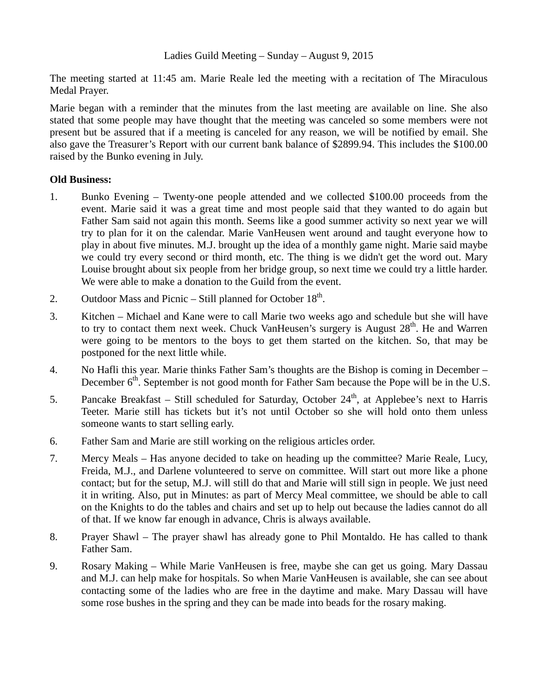Ladies Guild Meeting – Sunday – August 9, 2015

The meeting started at 11:45 am. Marie Reale led the meeting with a recitation of The Miraculous Medal Prayer.

Marie began with a reminder that the minutes from the last meeting are available on line. She also stated that some people may have thought that the meeting was canceled so some members were not present but be assured that if a meeting is canceled for any reason, we will be notified by email. She also gave the Treasurer's Report with our current bank balance of \$2899.94. This includes the \$100.00 raised by the Bunko evening in July.

## **Old Business:**

- 1. Bunko Evening Twenty-one people attended and we collected \$100.00 proceeds from the event. Marie said it was a great time and most people said that they wanted to do again but Father Sam said not again this month. Seems like a good summer activity so next year we will try to plan for it on the calendar. Marie VanHeusen went around and taught everyone how to play in about five minutes. M.J. brought up the idea of a monthly game night. Marie said maybe we could try every second or third month, etc. The thing is we didn't get the word out. Mary Louise brought about six people from her bridge group, so next time we could try a little harder. We were able to make a donation to the Guild from the event.
- 2. Outdoor Mass and Picnic Still planned for October  $18<sup>th</sup>$ .
- 3. Kitchen Michael and Kane were to call Marie two weeks ago and schedule but she will have to try to contact them next week. Chuck VanHeusen's surgery is August  $28<sup>th</sup>$ . He and Warren were going to be mentors to the boys to get them started on the kitchen. So, that may be postponed for the next little while.
- 4. No Hafli this year. Marie thinks Father Sam's thoughts are the Bishop is coming in December December  $6<sup>th</sup>$ . September is not good month for Father Sam because the Pope will be in the U.S.
- 5. Pancake Breakfast Still scheduled for Saturday, October  $24<sup>th</sup>$ , at Applebee's next to Harris Teeter. Marie still has tickets but it's not until October so she will hold onto them unless someone wants to start selling early.
- 6. Father Sam and Marie are still working on the religious articles order.
- 7. Mercy Meals Has anyone decided to take on heading up the committee? Marie Reale, Lucy, Freida, M.J., and Darlene volunteered to serve on committee. Will start out more like a phone contact; but for the setup, M.J. will still do that and Marie will still sign in people. We just need it in writing. Also, put in Minutes: as part of Mercy Meal committee, we should be able to call on the Knights to do the tables and chairs and set up to help out because the ladies cannot do all of that. If we know far enough in advance, Chris is always available.
- 8. Prayer Shawl The prayer shawl has already gone to Phil Montaldo. He has called to thank Father Sam.
- 9. Rosary Making While Marie VanHeusen is free, maybe she can get us going. Mary Dassau and M.J. can help make for hospitals. So when Marie VanHeusen is available, she can see about contacting some of the ladies who are free in the daytime and make. Mary Dassau will have some rose bushes in the spring and they can be made into beads for the rosary making.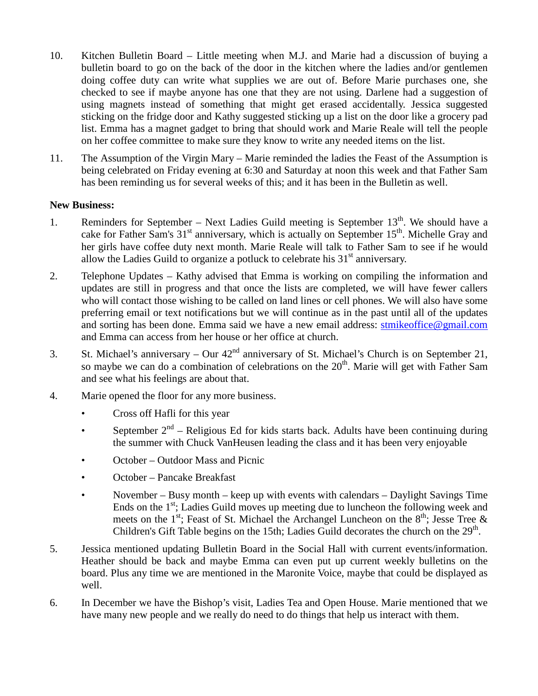- 10. Kitchen Bulletin Board Little meeting when M.J. and Marie had a discussion of buying a bulletin board to go on the back of the door in the kitchen where the ladies and/or gentlemen doing coffee duty can write what supplies we are out of. Before Marie purchases one, she checked to see if maybe anyone has one that they are not using. Darlene had a suggestion of using magnets instead of something that might get erased accidentally. Jessica suggested sticking on the fridge door and Kathy suggested sticking up a list on the door like a grocery pad list. Emma has a magnet gadget to bring that should work and Marie Reale will tell the people on her coffee committee to make sure they know to write any needed items on the list.
- 11. The Assumption of the Virgin Mary Marie reminded the ladies the Feast of the Assumption is being celebrated on Friday evening at 6:30 and Saturday at noon this week and that Father Sam has been reminding us for several weeks of this; and it has been in the Bulletin as well.

## **New Business:**

- 1. Reminders for September Next Ladies Guild meeting is September  $13<sup>th</sup>$ . We should have a cake for Father Sam's  $31<sup>st</sup>$  anniversary, which is actually on September  $15<sup>th</sup>$ . Michelle Gray and her girls have coffee duty next month. Marie Reale will talk to Father Sam to see if he would allow the Ladies Guild to organize a potluck to celebrate his  $31<sup>st</sup>$  anniversary.
- 2. Telephone Updates Kathy advised that Emma is working on compiling the information and updates are still in progress and that once the lists are completed, we will have fewer callers who will contact those wishing to be called on land lines or cell phones. We will also have some preferring email or text notifications but we will continue as in the past until all of the updates and sorting has been done. Emma said we have a new email address: [stmikeoffice@gmail.com](mailto:stmikeoffice@gmail.com) and Emma can access from her house or her office at church.
- 3. St. Michael's anniversary Our  $42<sup>nd</sup>$  anniversary of St. Michael's Church is on September 21, so maybe we can do a combination of celebrations on the  $20<sup>th</sup>$ . Marie will get with Father Sam and see what his feelings are about that.
- 4. Marie opened the floor for any more business.
	- Cross off Hafli for this year
	- September  $2<sup>nd</sup>$  Religious Ed for kids starts back. Adults have been continuing during the summer with Chuck VanHeusen leading the class and it has been very enjoyable
	- October Outdoor Mass and Picnic
	- October Pancake Breakfast
	- November Busy month keep up with events with calendars Daylight Savings Time Ends on the  $1<sup>st</sup>$ ; Ladies Guild moves up meeting due to luncheon the following week and meets on the 1<sup>st</sup>; Feast of St. Michael the Archangel Luncheon on the  $8<sup>th</sup>$ ; Jesse Tree & Children's Gift Table begins on the 15th; Ladies Guild decorates the church on the  $29<sup>th</sup>$ .
- 5. Jessica mentioned updating Bulletin Board in the Social Hall with current events/information. Heather should be back and maybe Emma can even put up current weekly bulletins on the board. Plus any time we are mentioned in the Maronite Voice, maybe that could be displayed as well.
- 6. In December we have the Bishop's visit, Ladies Tea and Open House. Marie mentioned that we have many new people and we really do need to do things that help us interact with them.